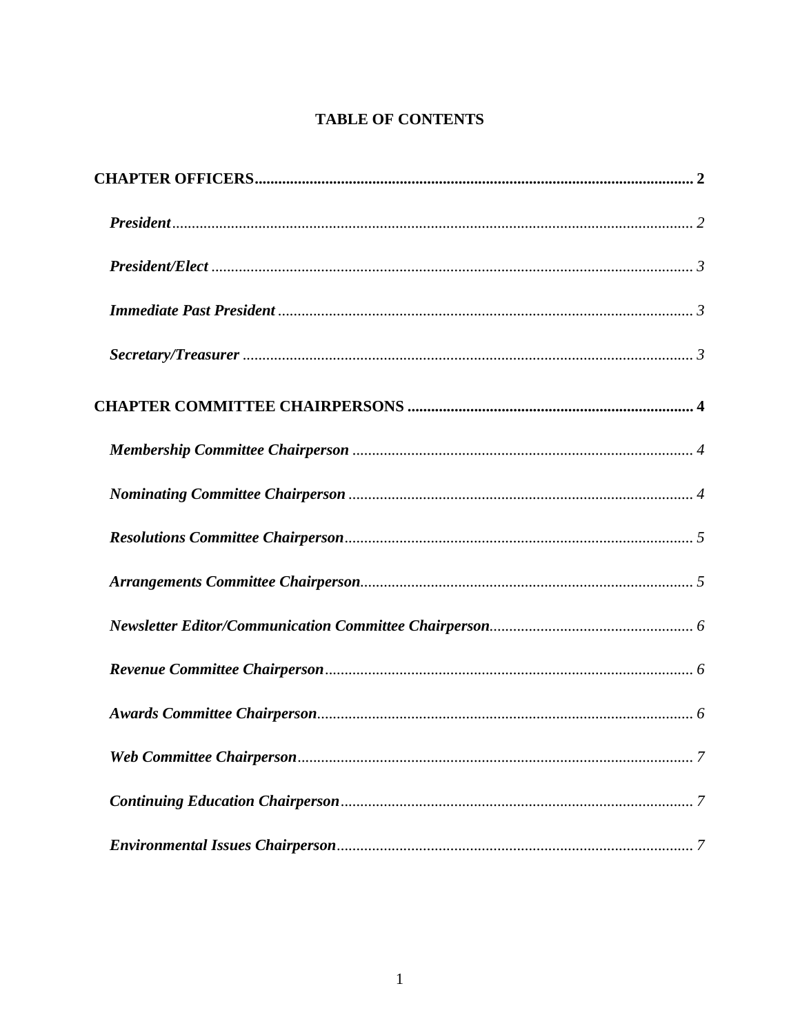# **TABLE OF CONTENTS**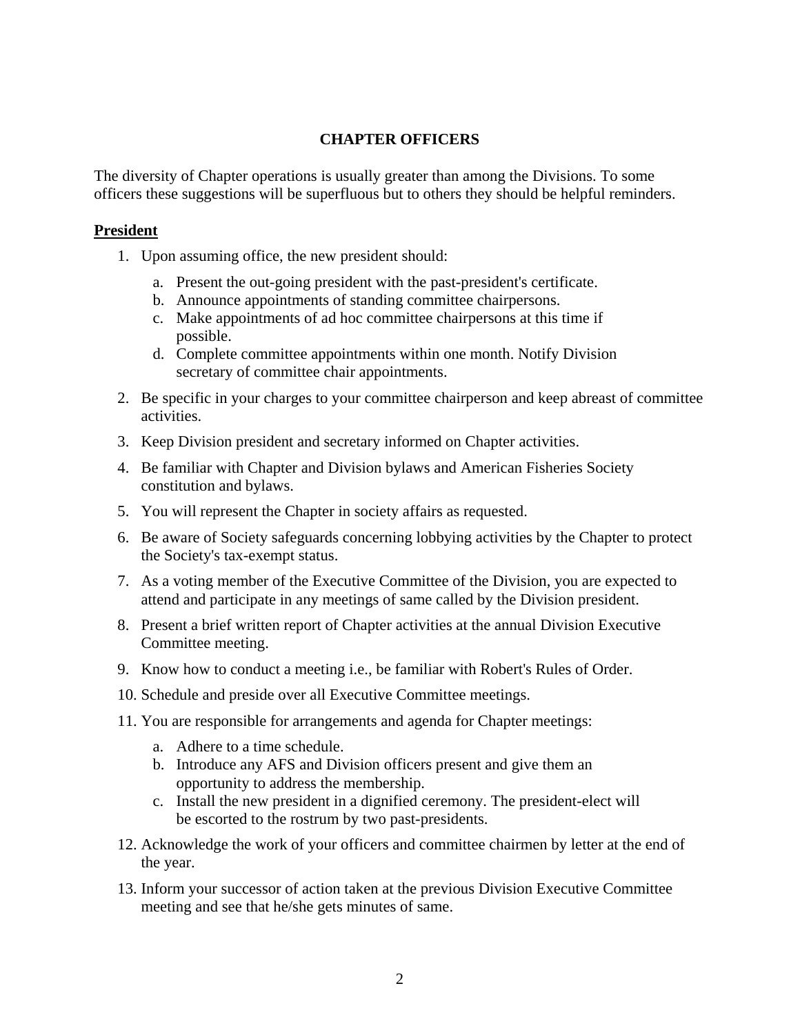## **CHAPTER OFFICERS**

<span id="page-1-0"></span>The diversity of Chapter operations is usually greater than among the Divisions. To some officers these suggestions will be superfluous but to others they should be helpful reminders.

#### **President**

- 1. Upon assuming office, the new president should:
	- a. Present the out-going president with the past-president's certificate.
	- b. Announce appointments of standing committee chairpersons.
	- c. Make appointments of ad hoc committee chairpersons at this time if possible.
	- d. Complete committee appointments within one month. Notify Division secretary of committee chair appointments.
- 2. Be specific in your charges to your committee chairperson and keep abreast of committee activities.
- 3. Keep Division president and secretary informed on Chapter activities.
- 4. Be familiar with Chapter and Division bylaws and American Fisheries Society constitution and bylaws.
- 5. You will represent the Chapter in society affairs as requested.
- 6. Be aware of Society safeguards concerning lobbying activities by the Chapter to protect the Society's tax-exempt status.
- 7. As a voting member of the Executive Committee of the Division, you are expected to attend and participate in any meetings of same called by the Division president.
- 8. Present a brief written report of Chapter activities at the annual Division Executive Committee meeting.
- 9. Know how to conduct a meeting i.e., be familiar with Robert's Rules of Order.
- 10. Schedule and preside over all Executive Committee meetings.
- 11. You are responsible for arrangements and agenda for Chapter meetings:
	- a. Adhere to a time schedule.
	- b. Introduce any AFS and Division officers present and give them an opportunity to address the membership.
	- c. Install the new president in a dignified ceremony. The president-elect will be escorted to the rostrum by two past-presidents.
- 12. Acknowledge the work of your officers and committee chairmen by letter at the end of the year.
- 13. Inform your successor of action taken at the previous Division Executive Committee meeting and see that he/she gets minutes of same.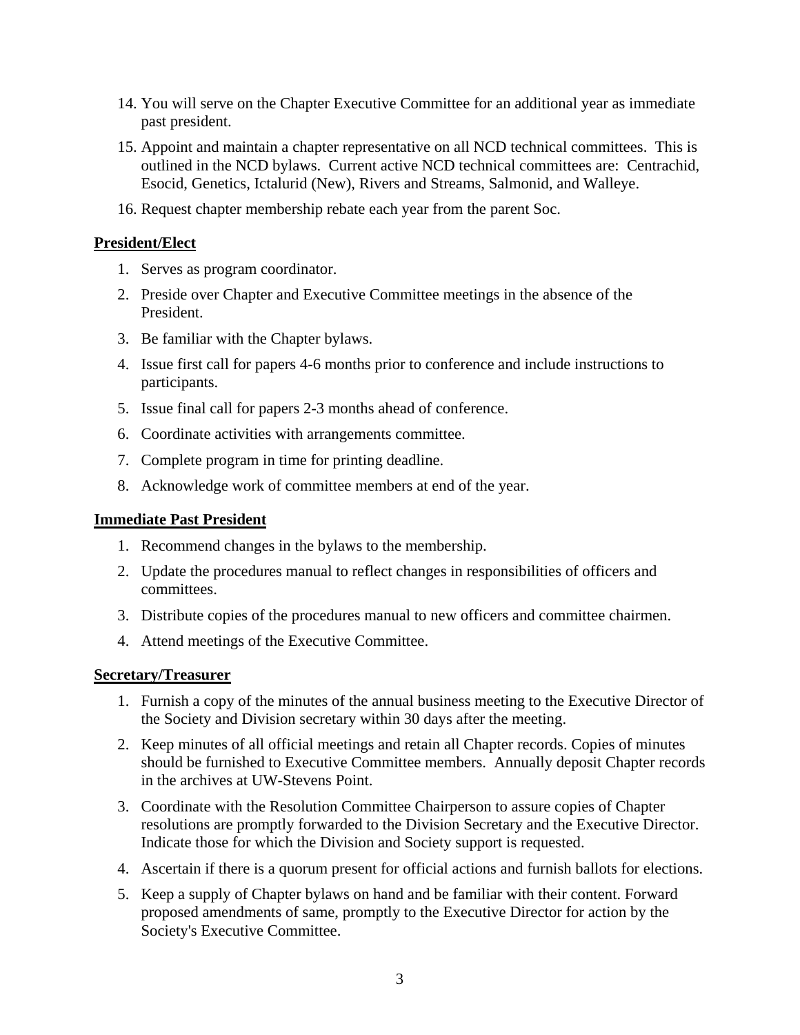- <span id="page-2-0"></span>14. You will serve on the Chapter Executive Committee for an additional year as immediate past president.
- 15. Appoint and maintain a chapter representative on all NCD technical committees. This is outlined in the NCD bylaws. Current active NCD technical committees are: Centrachid, Esocid, Genetics, Ictalurid (New), Rivers and Streams, Salmonid, and Walleye.
- 16. Request chapter membership rebate each year from the parent Soc.

## **President/Elect**

- 1. Serves as program coordinator.
- 2. Preside over Chapter and Executive Committee meetings in the absence of the President.
- 3. Be familiar with the Chapter bylaws.
- 4. Issue first call for papers 4-6 months prior to conference and include instructions to participants.
- 5. Issue final call for papers 2-3 months ahead of conference.
- 6. Coordinate activities with arrangements committee.
- 7. Complete program in time for printing deadline.
- 8. Acknowledge work of committee members at end of the year.

## **Immediate Past President**

- 1. Recommend changes in the bylaws to the membership.
- 2. Update the procedures manual to reflect changes in responsibilities of officers and committees.
- 3. Distribute copies of the procedures manual to new officers and committee chairmen.
- 4. Attend meetings of the Executive Committee.

## **Secretary/Treasurer**

- 1. Furnish a copy of the minutes of the annual business meeting to the Executive Director of the Society and Division secretary within 30 days after the meeting.
- 2. Keep minutes of all official meetings and retain all Chapter records. Copies of minutes should be furnished to Executive Committee members. Annually deposit Chapter records in the archives at UW-Stevens Point.
- 3. Coordinate with the Resolution Committee Chairperson to assure copies of Chapter resolutions are promptly forwarded to the Division Secretary and the Executive Director. Indicate those for which the Division and Society support is requested.
- 4. Ascertain if there is a quorum present for official actions and furnish ballots for elections.
- 5. Keep a supply of Chapter bylaws on hand and be familiar with their content. Forward proposed amendments of same, promptly to the Executive Director for action by the Society's Executive Committee.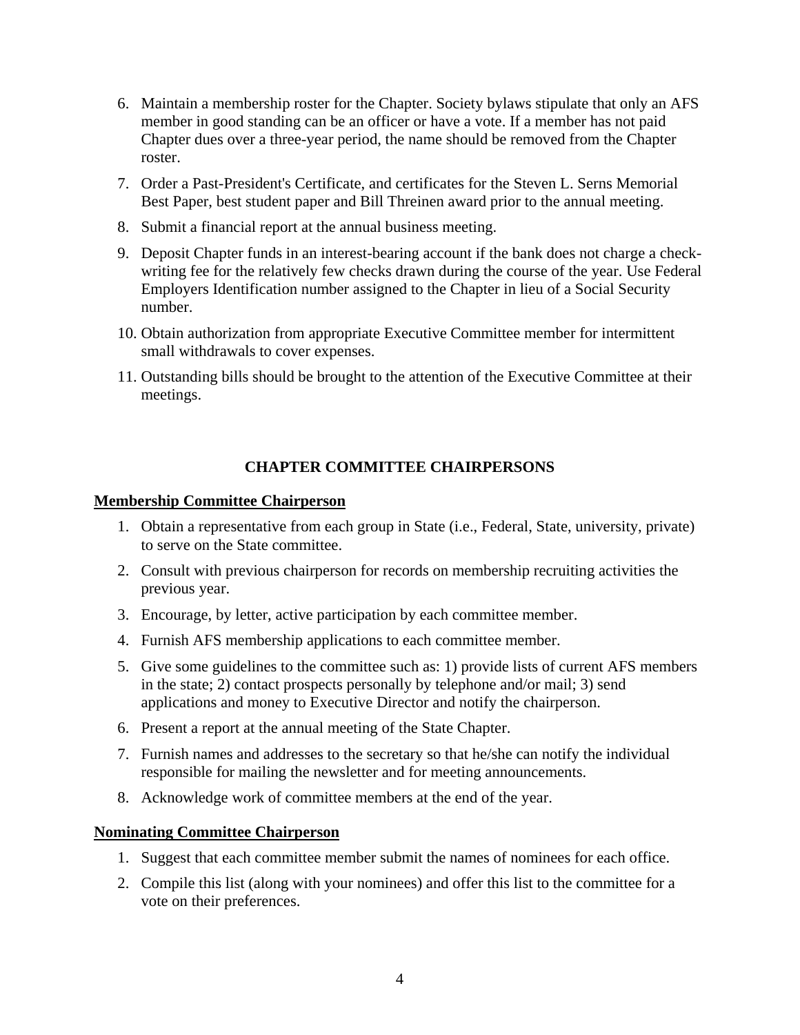- <span id="page-3-0"></span>6. Maintain a membership roster for the Chapter. Society bylaws stipulate that only an AFS member in good standing can be an officer or have a vote. If a member has not paid Chapter dues over a three-year period, the name should be removed from the Chapter roster.
- 7. Order a Past-President's Certificate, and certificates for the Steven L. Serns Memorial Best Paper, best student paper and Bill Threinen award prior to the annual meeting.
- 8. Submit a financial report at the annual business meeting.
- 9. Deposit Chapter funds in an interest-bearing account if the bank does not charge a checkwriting fee for the relatively few checks drawn during the course of the year. Use Federal Employers Identification number assigned to the Chapter in lieu of a Social Security number.
- 10. Obtain authorization from appropriate Executive Committee member for intermittent small withdrawals to cover expenses.
- 11. Outstanding bills should be brought to the attention of the Executive Committee at their meetings.

# **CHAPTER COMMITTEE CHAIRPERSONS**

## **Membership Committee Chairperson**

- 1. Obtain a representative from each group in State (i.e., Federal, State, university, private) to serve on the State committee.
- 2. Consult with previous chairperson for records on membership recruiting activities the previous year.
- 3. Encourage, by letter, active participation by each committee member.
- 4. Furnish AFS membership applications to each committee member.
- 5. Give some guidelines to the committee such as: 1) provide lists of current AFS members in the state; 2) contact prospects personally by telephone and/or mail; 3) send applications and money to Executive Director and notify the chairperson.
- 6. Present a report at the annual meeting of the State Chapter.
- 7. Furnish names and addresses to the secretary so that he/she can notify the individual responsible for mailing the newsletter and for meeting announcements.
- 8. Acknowledge work of committee members at the end of the year.

## **Nominating Committee Chairperson**

- 1. Suggest that each committee member submit the names of nominees for each office.
- 2. Compile this list (along with your nominees) and offer this list to the committee for a vote on their preferences.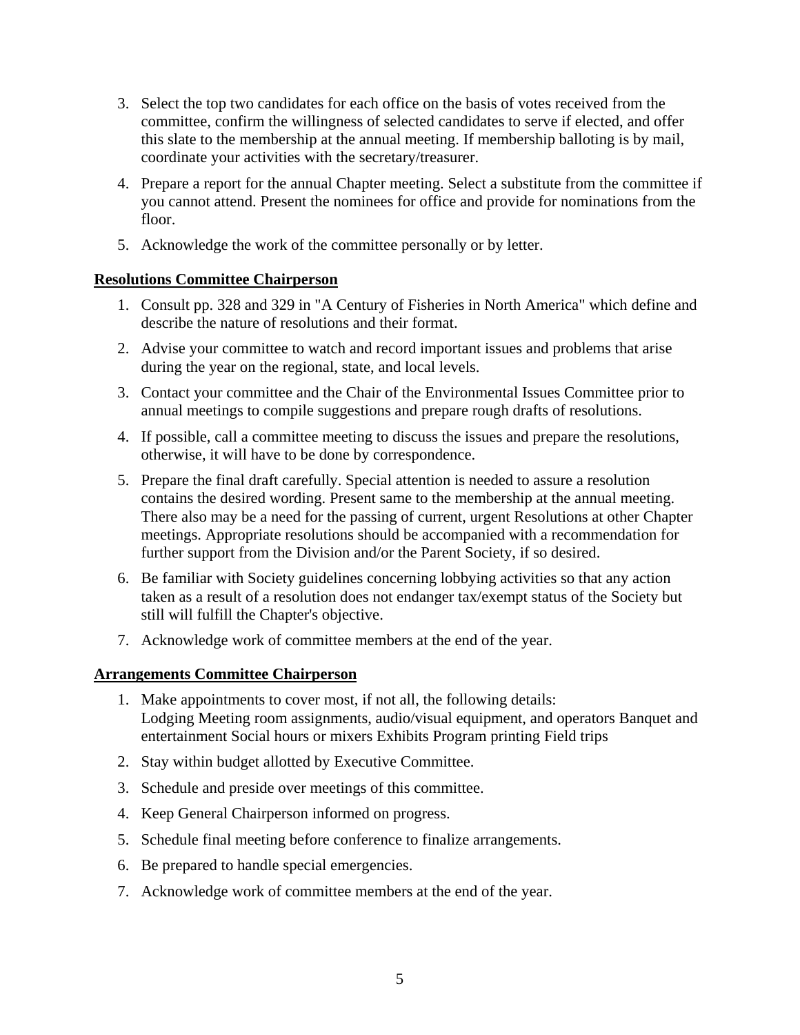- <span id="page-4-0"></span>3. Select the top two candidates for each office on the basis of votes received from the committee, confirm the willingness of selected candidates to serve if elected, and offer this slate to the membership at the annual meeting. If membership balloting is by mail, coordinate your activities with the secretary/treasurer.
- 4. Prepare a report for the annual Chapter meeting. Select a substitute from the committee if you cannot attend. Present the nominees for office and provide for nominations from the floor.
- 5. Acknowledge the work of the committee personally or by letter.

## **Resolutions Committee Chairperson**

- 1. Consult pp. 328 and 329 in "A Century of Fisheries in North America" which define and describe the nature of resolutions and their format.
- 2. Advise your committee to watch and record important issues and problems that arise during the year on the regional, state, and local levels.
- 3. Contact your committee and the Chair of the Environmental Issues Committee prior to annual meetings to compile suggestions and prepare rough drafts of resolutions.
- 4. If possible, call a committee meeting to discuss the issues and prepare the resolutions, otherwise, it will have to be done by correspondence.
- 5. Prepare the final draft carefully. Special attention is needed to assure a resolution contains the desired wording. Present same to the membership at the annual meeting. There also may be a need for the passing of current, urgent Resolutions at other Chapter meetings. Appropriate resolutions should be accompanied with a recommendation for further support from the Division and/or the Parent Society, if so desired.
- 6. Be familiar with Society guidelines concerning lobbying activities so that any action taken as a result of a resolution does not endanger tax/exempt status of the Society but still will fulfill the Chapter's objective.
- 7. Acknowledge work of committee members at the end of the year.

## **Arrangements Committee Chairperson**

- 1. Make appointments to cover most, if not all, the following details: Lodging Meeting room assignments, audio/visual equipment, and operators Banquet and entertainment Social hours or mixers Exhibits Program printing Field trips
- 2. Stay within budget allotted by Executive Committee.
- 3. Schedule and preside over meetings of this committee.
- 4. Keep General Chairperson informed on progress.
- 5. Schedule final meeting before conference to finalize arrangements.
- 6. Be prepared to handle special emergencies.
- 7. Acknowledge work of committee members at the end of the year.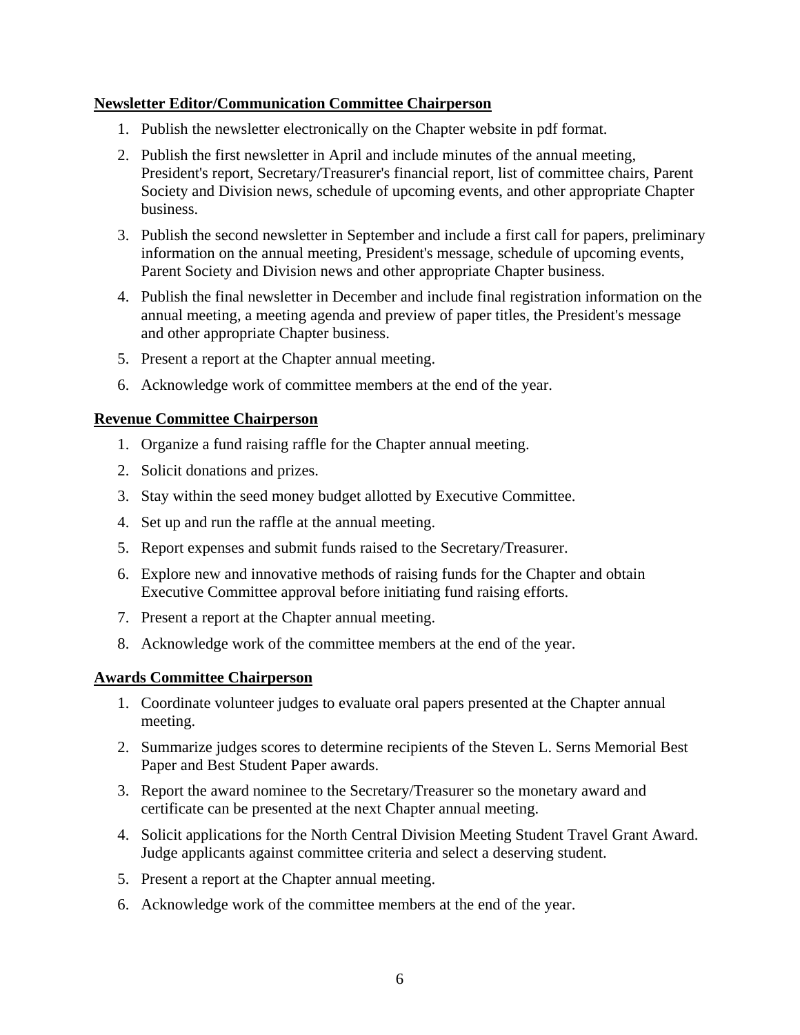## <span id="page-5-0"></span>**Newsletter Editor/Communication Committee Chairperson**

- 1. Publish the newsletter electronically on the Chapter website in pdf format.
- 2. Publish the first newsletter in April and include minutes of the annual meeting, President's report, Secretary/Treasurer's financial report, list of committee chairs, Parent Society and Division news, schedule of upcoming events, and other appropriate Chapter business.
- 3. Publish the second newsletter in September and include a first call for papers, preliminary information on the annual meeting, President's message, schedule of upcoming events, Parent Society and Division news and other appropriate Chapter business.
- 4. Publish the final newsletter in December and include final registration information on the annual meeting, a meeting agenda and preview of paper titles, the President's message and other appropriate Chapter business.
- 5. Present a report at the Chapter annual meeting.
- 6. Acknowledge work of committee members at the end of the year.

## **Revenue Committee Chairperson**

- 1. Organize a fund raising raffle for the Chapter annual meeting.
- 2. Solicit donations and prizes.
- 3. Stay within the seed money budget allotted by Executive Committee.
- 4. Set up and run the raffle at the annual meeting.
- 5. Report expenses and submit funds raised to the Secretary/Treasurer.
- 6. Explore new and innovative methods of raising funds for the Chapter and obtain Executive Committee approval before initiating fund raising efforts.
- 7. Present a report at the Chapter annual meeting.
- 8. Acknowledge work of the committee members at the end of the year.

## **Awards Committee Chairperson**

- 1. Coordinate volunteer judges to evaluate oral papers presented at the Chapter annual meeting.
- 2. Summarize judges scores to determine recipients of the Steven L. Serns Memorial Best Paper and Best Student Paper awards.
- 3. Report the award nominee to the Secretary/Treasurer so the monetary award and certificate can be presented at the next Chapter annual meeting.
- 4. Solicit applications for the North Central Division Meeting Student Travel Grant Award. Judge applicants against committee criteria and select a deserving student.
- 5. Present a report at the Chapter annual meeting.
- 6. Acknowledge work of the committee members at the end of the year.